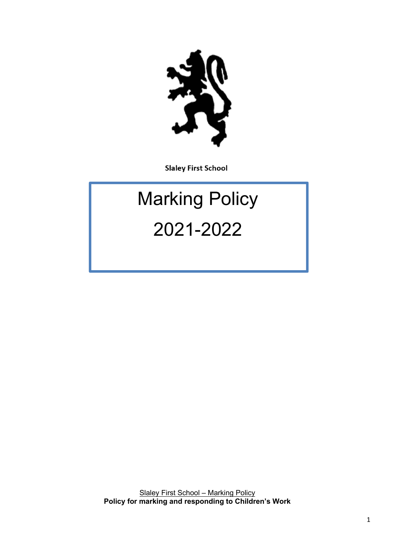

**Slaley First School** 

# Marking Policy 2021-2022

Slaley First School – Marking Policy **Policy for marking and responding to Children's Work**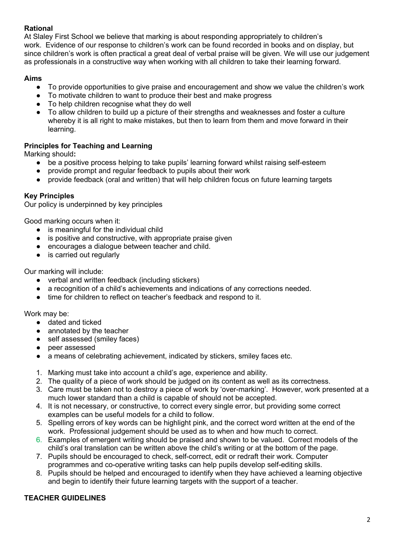## **Rational**

At Slaley First School we believe that marking is about responding appropriately to children's work. Evidence of our response to children's work can be found recorded in books and on display, but since children's work is often practical a great deal of verbal praise will be given. We will use our judgement as professionals in a constructive way when working with all children to take their learning forward.

## **Aims**

- To provide opportunities to give praise and encouragement and show we value the children's work
- To motivate children to want to produce their best and make progress
- To help children recognise what they do well
- To allow children to build up a picture of their strengths and weaknesses and foster a culture whereby it is all right to make mistakes, but then to learn from them and move forward in their learning.

# **Principles for Teaching and Learning**

Marking should**:**

- be a positive process helping to take pupils' learning forward whilst raising self-esteem
- provide prompt and regular feedback to pupils about their work
- provide feedback (oral and written) that will help children focus on future learning targets

## **Key Principles**

Our policy is underpinned by key principles

Good marking occurs when it:

- is meaningful for the individual child
- is positive and constructive, with appropriate praise given
- encourages a dialogue between teacher and child.
- is carried out regularly

Our marking will include:

- verbal and written feedback (including stickers)
- a recognition of a child's achievements and indications of any corrections needed.
- time for children to reflect on teacher's feedback and respond to it.

Work may be:

- dated and ticked
- annotated by the teacher
- self assessed (smiley faces)
- peer assessed
- a means of celebrating achievement, indicated by stickers, smiley faces etc.
- 1. Marking must take into account a child's age, experience and ability.
- 2. The quality of a piece of work should be judged on its content as well as its correctness.
- 3. Care must be taken not to destroy a piece of work by 'over-marking'. However, work presented at a much lower standard than a child is capable of should not be accepted.
- 4. It is not necessary, or constructive, to correct every single error, but providing some correct examples can be useful models for a child to follow.
- 5. Spelling errors of key words can be highlight pink, and the correct word written at the end of the work. Professional judgement should be used as to when and how much to correct.
- 6. Examples of emergent writing should be praised and shown to be valued. Correct models of the child's oral translation can be written above the child's writing or at the bottom of the page.
- 7. Pupils should be encouraged to check, self-correct, edit or redraft their work. Computer programmes and co-operative writing tasks can help pupils develop self-editing skills.
- 8. Pupils should be helped and encouraged to identify when they have achieved a learning objective and begin to identify their future learning targets with the support of a teacher.

## **TEACHER GUIDELINES**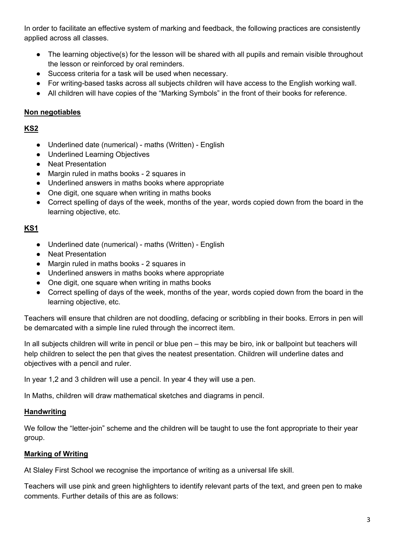In order to facilitate an effective system of marking and feedback, the following practices are consistently applied across all classes.

- The learning objective(s) for the lesson will be shared with all pupils and remain visible throughout the lesson or reinforced by oral reminders.
- Success criteria for a task will be used when necessary.
- For writing-based tasks across all subjects children will have access to the English working wall.
- All children will have copies of the "Marking Symbols" in the front of their books for reference.

## **Non negotiables**

**KS2**

- Underlined date (numerical) maths (Written) English
- Underlined Learning Objectives
- Neat Presentation
- Margin ruled in maths books 2 squares in
- Underlined answers in maths books where appropriate
- One digit, one square when writing in maths books
- Correct spelling of days of the week, months of the year, words copied down from the board in the learning objective, etc.

## **KS1**

- Underlined date (numerical) maths (Written) English
- Neat Presentation
- Margin ruled in maths books 2 squares in
- Underlined answers in maths books where appropriate
- One digit, one square when writing in maths books
- Correct spelling of days of the week, months of the year, words copied down from the board in the learning objective, etc.

Teachers will ensure that children are not doodling, defacing or scribbling in their books. Errors in pen will be demarcated with a simple line ruled through the incorrect item.

In all subjects children will write in pencil or blue pen – this may be biro, ink or ballpoint but teachers will help children to select the pen that gives the neatest presentation. Children will underline dates and objectives with a pencil and ruler.

In year 1,2 and 3 children will use a pencil. In year 4 they will use a pen.

In Maths, children will draw mathematical sketches and diagrams in pencil.

## **Handwriting**

We follow the "letter-join" scheme and the children will be taught to use the font appropriate to their year group.

# **Marking of Writing**

At Slaley First School we recognise the importance of writing as a universal life skill.

Teachers will use pink and green highlighters to identify relevant parts of the text, and green pen to make comments. Further details of this are as follows: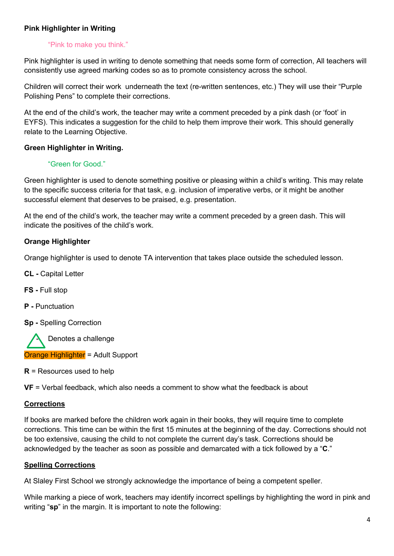## **Pink Highlighter in Writing**

#### "Pink to make you think."

Pink highlighter is used in writing to denote something that needs some form of correction, All teachers will consistently use agreed marking codes so as to promote consistency across the school.

Children will correct their work underneath the text (re-written sentences, etc.) They will use their "Purple Polishing Pens" to complete their corrections.

At the end of the child's work, the teacher may write a comment preceded by a pink dash (or 'foot' in EYFS). This indicates a suggestion for the child to help them improve their work. This should generally relate to the Learning Objective.

#### **Green Highlighter in Writing.**

#### "Green for Good."

Green highlighter is used to denote something positive or pleasing within a child's writing. This may relate to the specific success criteria for that task, e.g. inclusion of imperative verbs, or it might be another successful element that deserves to be praised, e.g. presentation.

At the end of the child's work, the teacher may write a comment preceded by a green dash. This will indicate the positives of the child's work.

#### **Orange Highlighter**

Orange highlighter is used to denote TA intervention that takes place outside the scheduled lesson.

**CL -** Capital Letter

**FS -** Full stop

**P -** Punctuation

**Sp -** Spelling Correction

Denotes a challenge Orange Highlighter = Adult Support

**R** = Resources used to help

**VF** = Verbal feedback, which also needs a comment to show what the feedback is about

#### **Corrections**

If books are marked before the children work again in their books, they will require time to complete corrections. This time can be within the first 15 minutes at the beginning of the day. Corrections should not be too extensive, causing the child to not complete the current day's task. Corrections should be acknowledged by the teacher as soon as possible and demarcated with a tick followed by a "**C**."

#### **Spelling Corrections**

At Slaley First School we strongly acknowledge the importance of being a competent speller.

While marking a piece of work, teachers may identify incorrect spellings by highlighting the word in pink and writing "**sp**" in the margin. It is important to note the following: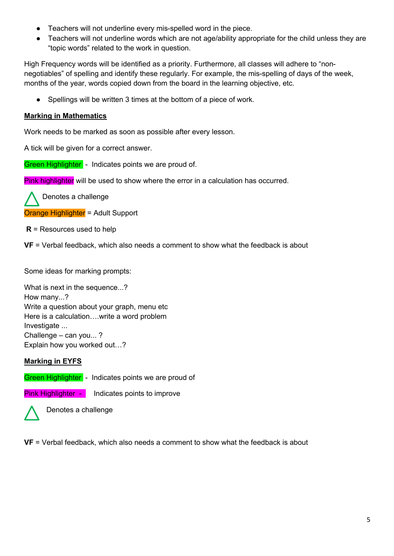- Teachers will not underline every mis-spelled word in the piece.
- Teachers will not underline words which are not age/ability appropriate for the child unless they are "topic words" related to the work in question.

High Frequency words will be identified as a priority. Furthermore, all classes will adhere to "nonnegotiables" of spelling and identify these regularly. For example, the mis-spelling of days of the week, months of the year, words copied down from the board in the learning objective, etc.

● Spellings will be written 3 times at the bottom of a piece of work.

## **Marking in Mathematics**

Work needs to be marked as soon as possible after every lesson.

A tick will be given for a correct answer.

Green Highlighter - Indicates points we are proud of.

Pink highlighter will be used to show where the error in a calculation has occurred.

Denotes a challenge

Orange Highlighter = Adult Support

**R** = Resources used to help

**VF** = Verbal feedback, which also needs a comment to show what the feedback is about

Some ideas for marking prompts:

What is next in the sequence...? How many...? Write a question about your graph, menu etc Here is a calculation….write a word problem Investigate ... Challenge – can you... ? Explain how you worked out…?

## **Marking in EYFS**

Green Highlighter - Indicates points we are proud of

**Pink Highlighter -** Indicates points to improve



Denotes a challenge

**VF** = Verbal feedback, which also needs a comment to show what the feedback is about